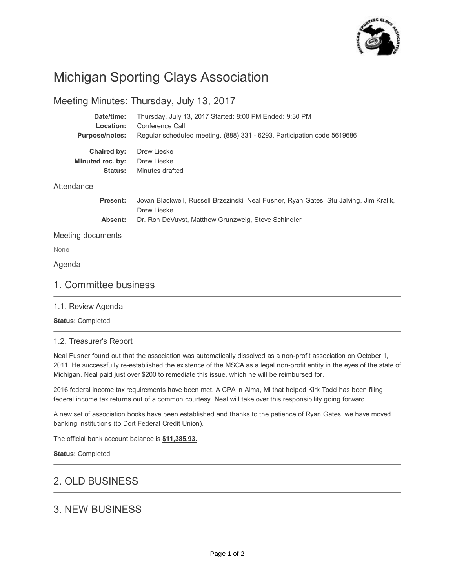

# Michigan Sporting Clays Association

# Meeting Minutes: Thursday, July 13, 2017

| Date/time:            | Thursday, July 13, 2017 Started: 8:00 PM Ended: 9:30 PM                                |
|-----------------------|----------------------------------------------------------------------------------------|
| Location:             | Conference Call                                                                        |
| <b>Purpose/notes:</b> | Regular scheduled meeting. (888) 331 - 6293, Participation code 5619686                |
| Chaired by:           | Drew Lieske                                                                            |
| Minuted rec. by:      | Drew Lieske                                                                            |
| Status:               | Minutes drafted                                                                        |
| Attendance            |                                                                                        |
| <b>Present:</b>       | Jovan Blackwell, Russell Brzezinski, Neal Fusner, Ryan Gates, Stu Jalving, Jim Kralik, |

**Absent:** Drew Lieske Dr. Ron DeVuyst, Matthew Grunzweig, Steve Schindler

Meeting documents

None

Agenda

# 1. Committee business

## 1.1. Review Agenda

**Status:** Completed

## 1.2. Treasurer's Report

Neal Fusner found out that the association was automatically dissolved as a non-profit association on October 1, 2011. He successfully re-established the existence of the MSCA as a legal non-profit entity in the eyes of the state of Michigan. Neal paid just over \$200 to remediate this issue, which he will be reimbursed for.

2016 federal income tax requirements have been met. A CPA in Alma, MI that helped Kirk Todd has been filing federal income tax returns out of a common courtesy. Neal will take over this responsibility going forward.

A new set of association books have been established and thanks to the patience of Ryan Gates, we have moved banking institutions (to Dort Federal Credit Union).

The official bank account balance is **\$11,385.93.**

**Status:** Completed

# 2. OLD BUSINESS

# 3. NEW BUSINESS